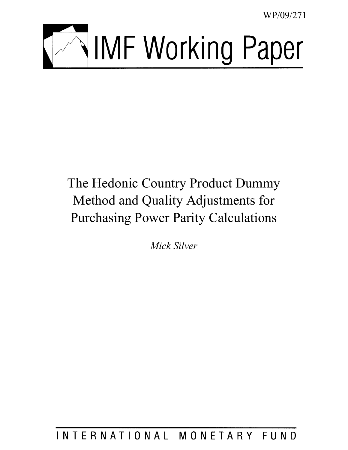WP/09/271



# <span id="page-0-0"></span>The Hedonic Country Product Dummy Method and Quality Adjustments for Purchasing Power Parity Calculations

*Mick Silver* 

## INTERNATIONAL MONETARY FUND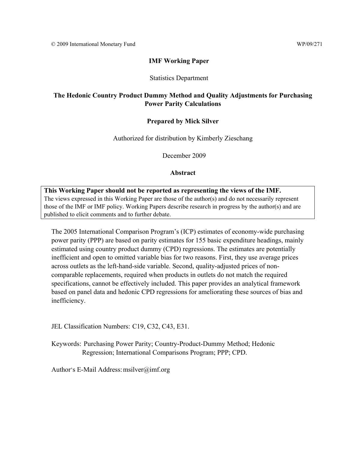## **IMF Working Paper**

## Statistics Department

## **The Hedonic Country Product Dummy Method and Quality Adjustments for Purchasing Power Parity Calculations**

## **Prepared by Mick Silver**

Authorized for distribution by Kimberly Zieschang

December 2009

## **Abstract**

**This Working Paper should not be reported as representing the views of the IMF.** The views expressed in this Working Paper are those of the author(s) and do not necessarily represent those of the IMF or IMF policy. Working Papers describe research in progress by the author(s) and are published to elicit comments and to further debate.

The 2005 International Comparison Program's (ICP) estimates of economy-wide purchasing power parity (PPP) are based on parity estimates for 155 basic expenditure headings, mainly estimated using country product dummy (CPD) regressions. The estimates are potentially inefficient and open to omitted variable bias for two reasons. First, they use average prices across outlets as the left-hand-side variable. Second, quality-adjusted prices of noncomparable replacements, required when products in outlets do not match the required specifications, cannot be effectively included. This paper provides an analytical framework based on panel data and hedonic CPD regressions for ameliorating these sources of bias and inefficiency.

JEL Classification Numbers: C19, C32, C43, E31.

Keywords: Purchasing Power Parity; Country-Product-Dummy Method; Hedonic Regression; International Comparisons Program; PPP; CPD.

Author's E-Mail Address: msilver@imf.org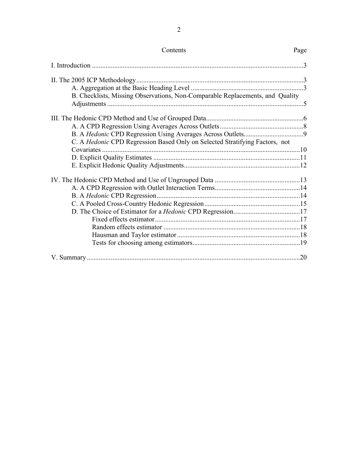| Contents                                                                           | Page |
|------------------------------------------------------------------------------------|------|
|                                                                                    |      |
|                                                                                    |      |
|                                                                                    |      |
| B. Checklists, Missing Observations, Non-Comparable Replacements, and Quality      |      |
|                                                                                    |      |
|                                                                                    |      |
|                                                                                    |      |
| C. A <i>Hedonic</i> CPD Regression Based Only on Selected Stratifying Factors, not |      |
|                                                                                    |      |
|                                                                                    |      |
|                                                                                    |      |
|                                                                                    |      |
|                                                                                    |      |
|                                                                                    |      |
|                                                                                    |      |
|                                                                                    |      |
|                                                                                    |      |
|                                                                                    |      |
|                                                                                    |      |
|                                                                                    |      |
|                                                                                    |      |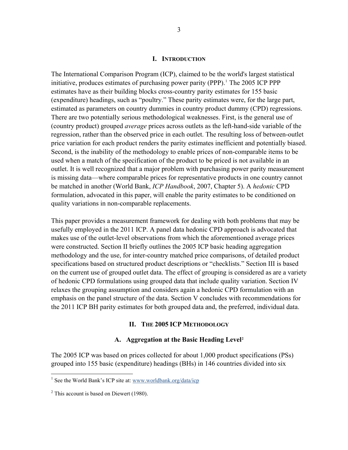#### **I. INTRODUCTION**

<span id="page-3-1"></span><span id="page-3-0"></span>The International Comparison Program (ICP), claimed to be the world's largest statistical initiative, produces estimates of purchasing power parity (PPP).<sup>[1](#page-3-0)</sup> The 2005 ICP PPP estimates have as their building blocks cross-country parity estimates for 155 basic (expenditure) headings, such as "poultry." These parity estimates were, for the large part, estimated as parameters on country dummies in country product dummy (CPD) regressions. There are two potentially serious methodological weaknesses. First, is the general use of (country product) grouped *average* prices across outlets as the left-hand-side variable of the regression, rather than the observed price in each outlet. The resulting loss of between-outlet price variation for each product renders the parity estimates inefficient and potentially biased. Second, is the inability of the methodology to enable prices of non-comparable items to be used when a match of the specification of the product to be priced is not available in an outlet. It is well recognized that a major problem with purchasing power parity measurement is missing data—where comparable prices for representative products in one country cannot be matched in another (World Bank, *ICP Handbook*, 2007, Chapter 5). A *hedonic* CPD formulation, advocated in this paper, will enable the parity estimates to be conditioned on quality variations in non-comparable replacements.

This paper provides a measurement framework for dealing with both problems that may be usefully employed in the 2011 ICP. A panel data hedonic CPD approach is advocated that makes use of the outlet-level observations from which the aforementioned average prices were constructed. Section II briefly outlines the 2005 ICP basic heading aggregation methodology and the use, for inter-country matched price comparisons, of detailed product specifications based on structured product descriptions or "checklists." Section III is based on the current use of grouped outlet data. The effect of grouping is considered as are a variety of hedonic CPD formulations using grouped data that include quality variation. Section IV relaxes the grouping assumption and considers again a hedonic CPD formulation with an emphasis on the panel structure of the data. Section V concludes with recommendations for the 2011 ICP BH parity estimates for both grouped data and, the preferred, individual data.

#### **II. THE 2005 ICP METHODOLOGY**

#### **A. Aggregation at the Basic Heading Level[2](#page-3-1)**

The 2005 ICP was based on prices collected for about 1,000 product specifications (PSs) grouped into 155 basic (expenditure) headings (BHs) in 146 countries divided into six

<sup>&</sup>lt;sup>1</sup> See the World Bank's ICP site at: www.worldbank.org/data/icp

 $2$ <sup>2</sup> This account is based on Diewert (1980).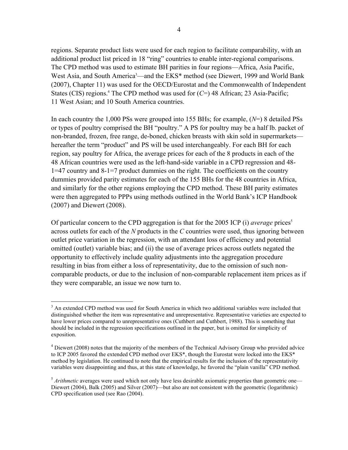regions. Separate product lists were used for each region to facilitate comparability, with an additional product list priced in 18 "ring" countries to enable inter-regional comparisons. The CPD method was used to estimate BH parities in four regions—Africa, Asia Pacific, West Asia, and South America<sup>3</sup>—and the EKS<sup>\*</sup> method (see Diewert, 1999 and World Bank (2007), Chapter 11) was used for the OECD/Eurostat and the Commonwealth of Independent States (CIS) regions.<sup>4</sup> The CPD method was used for (C=) 48 African; 23 Asia-Pacific; 11 West Asian; and 10 South America countries.

In each country the 1,000 PSs were grouped into 155 BHs; for example, (*N*=) 8 detailed PSs or types of poultry comprised the BH "poultry." A PS for poultry may be a half lb. packet of non-branded, frozen, free range, de-boned, chicken breasts with skin sold in supermarkets hereafter the term "product" and PS will be used interchangeably. For each BH for each region, say poultry for Africa, the average prices for each of the 8 products in each of the 48 African countries were used as the left-hand-side variable in a CPD regression and 48- 1=47 country and 8-1=7 product dummies on the right. The coefficients on the country dummies provided parity estimates for each of the 155 BHs for the 48 countries in Africa, and similarly for the other regions employing the CPD method. These BH parity estimates were then aggregated to PPPs using methods outlined in the World Bank's ICP Handbook (2007) and Diewert (2008).

Of particular concern to the CPD aggregation is that for the 2005 ICP (i) *average* prices<sup>5</sup> across outlets for each of the *N* products in the *C* countries were used, thus ignoring between outlet price variation in the regression, with an attendant loss of efficiency and potential omitted (outlet) variable bias; and (ii) the use of average prices across outlets negated the opportunity to effectively include quality adjustments into the aggregation procedure resulting in bias from either a loss of representativity, due to the omission of such noncomparable products, or due to the inclusion of non-comparable replacement item prices as if they were comparable, an issue we now turn to.

<sup>&</sup>lt;sup>3</sup> An extended CPD method was used for South America in which two additional variables were included that distinguished whether the item was representative and unrepresentative. Representative varieties are expected to have lower prices compared to unrepresentative ones (Cuthbert and Cuthbert, 1988). This is something that should be included in the regression specifications outlined in the paper, but is omitted for simplicity of exposition.

<sup>&</sup>lt;sup>4</sup> Diewert (2008) notes that the majority of the members of the Technical Advisory Group who provided advice to ICP 2005 favored the extended CPD method over EKS<sup>\*</sup>, though the Eurostat were locked into the EKS<sup>\*</sup> method by legislation. He continued to note that the empirical results for the inclusion of the representativity variables were disappointing and thus, at this state of knowledge, he favored the "plain vanilla" CPD method.

<sup>&</sup>lt;sup>5</sup> *Arithmetic* averages were used which not only have less desirable axiomatic properties than geometric one— Diewert (2004), Balk (2005) and Silver (2007)—but also are not consistent with the geometric (logarithmic) CPD specification used (see Rao (2004).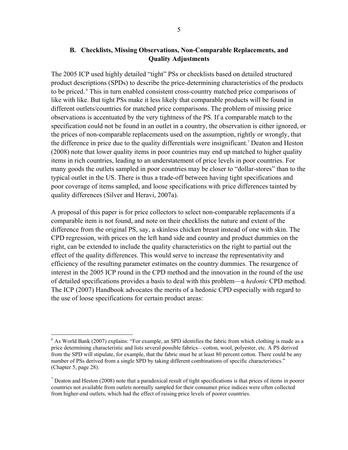## **B. Checklists, Missing Observations, Non-Comparable Replacements, and Quality Adjustments**

The 2005 ICP used highly detailed "tight" PSs or checklists based on detailed structured product descriptions (SPDs) to describe the price-determining characteristics of the products to be priced. 6 This in turn enabled consistent cross-country matched price comparisons of like with like. But tight PSs make it less likely that comparable products will be found in different outlets/countries for matched price comparisons. The problem of missing price observations is accentuated by the very tightness of the PS. If a comparable match to the specification could not be found in an outlet in a country, the observation is either ignored, or the prices of non-comparable replacements used on the assumption, rightly or wrongly, that the difference in price due to the quality differentials were insignificant.<sup>7</sup> Deaton and Heston (2008) note that lower quality items in poor countries may end up matched to higher quality items in rich countries, leading to an understatement of price levels in poor countries. For many goods the outlets sampled in poor countries may be closer to "dollar-stores" than to the typical outlet in the US. There is thus a trade-off between having tight specifications and poor coverage of items sampled, and loose specifications with price differences tainted by quality differences (Silver and Heravi, 2007a).

A proposal of this paper is for price collectors to select non-comparable replacements if a comparable item is not found, and note on their checklists the nature and extent of the difference from the original PS, say, a skinless chicken breast instead of one with skin. The CPD regression, with prices on the left hand side and country and product dummies on the right, can be extended to include the quality characteristics on the right to partial out the effect of the quality differences. This would serve to increase the representativity and efficiency of the resulting parameter estimates on the country dummies. The resurgence of interest in the 2005 ICP round in the CPD method and the innovation in the round of the use of detailed specifications provides a basis to deal with this problem—a *hedonic* CPD method. The ICP (2007) Handbook advocates the merits of a hedonic CPD especially with regard to the use of loose specifications for certain product areas:

 $\overline{a}$ 

<sup>&</sup>lt;sup>6</sup> As World Bank (2007) explains: "For example, an SPD identifies the fabric from which clothing is made as a price determining characteristic and lists several possible fabrics—cotton, wool, polyester, etc. A PS derived from the SPD will stipulate, for example, that the fabric must be at least 80 percent cotton. There could be any number of PSs derived from a single SPD by taking different combinations of specific characteristics." (Chapter 5, page 28).

 $<sup>7</sup>$  Deaton and Heston (2008) note that a paradoxical result of tight specifications is that prices of items in poorer</sup> countries not available from outlets normally sampled for their consumer price indices were often collected from higher-end outlets, which had the effect of raising price levels of poorer countries.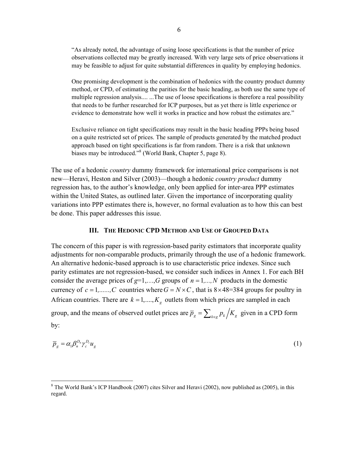"As already noted, the advantage of using loose specifications is that the number of price observations collected may be greatly increased. With very large sets of price observations it may be feasible to adjust for quite substantial differences in quality by employing hedonics.

One promising development is the combination of hedonics with the country product dummy method, or CPD, of estimating the parities for the basic heading, as both use the same type of multiple regression analysis.... ...The use of loose specifications is therefore a real possibility that needs to be further researched for ICP purposes, but as yet there is little experience or evidence to demonstrate how well it works in practice and how robust the estimates are."

Exclusive reliance on tight specifications may result in the basic heading PPPs being based on a quite restricted set of prices. The sample of products generated by the matched product approach based on tight specifications is far from random. There is a risk that unknown biases may be introduced."<sup>8</sup> (World Bank, Chapter 5, page 8).

The use of a hedonic *country* dummy framework for international price comparisons is not new—Heravi, Heston and Silver (2003)—though a hedonic *country product* dummy regression has, to the author's knowledge, only been applied for inter-area PPP estimates within the United States, as outlined later. Given the importance of incorporating quality variations into PPP estimates there is, however, no formal evaluation as to how this can best be done. This paper addresses this issue.

## **III. THE HEDONIC CPD METHOD AND USE OF GROUPED DATA**

The concern of this paper is with regression-based parity estimators that incorporate quality adjustments for non-comparable products, primarily through the use of a hedonic framework. An alternative hedonic-based approach is to use characteristic price indexes. Since such parity estimates are not regression-based, we consider such indices in Annex 1. For each BH consider the average prices of  $g=1,...,G$  groups of  $n=1,...,N$  products in the domestic currency of  $c = 1, \ldots, C$  countries where  $G = N \times C$ , that is  $8 \times 48 = 384$  groups for poultry in African countries. There are  $k = 1, ..., K_g$  outlets from which prices are sampled in each group, and the means of observed outlet prices are  $\overline{p}_g = \sum_{k \in \mathcal{P}} p_k / K_g$  given in a CPD form by:

$$
\overline{p}_g = \alpha_1 \beta_n^{D_n} \gamma_c^{D_c} u_g \tag{1}
$$

 $\overline{a}$ 

 $8$  The World Bank's ICP Handbook (2007) cites Silver and Heravi (2002), now published as (2005), in this regard.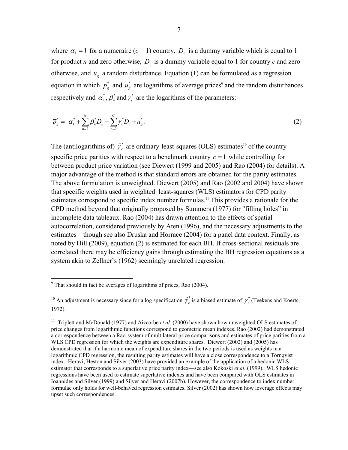where  $\alpha_1 = 1$  for a numeraire ( $c = 1$ ) country,  $D_n$  is a dummy variable which is equal to 1 for product *n* and zero otherwise,  $D_c$  is a dummy variable equal to 1 for country *c* and zero otherwise, and  $u<sub>g</sub>$  a random disturbance. Equation (1) can be formulated as a regression equation in which  $p_s^*$  and  $u_s^*$  are logarithms of average prices<sup>9</sup> and the random disturbances respectively and  $\alpha_1^*$ ,  $\beta_n^*$  and  $\gamma_c^*$  are the logarithms of the parameters:

$$
\overline{p}_g^* = \alpha_1^* + \sum_{n=2}^N \beta_n^* D_n + \sum_{c=2}^C \gamma_c^* D_c + u_g^*.
$$
 (2)

The (antilogarithms of)  $\hat{\gamma}_c^*$  are ordinary-least-squares (OLS) estimates<sup>10</sup> of the countryspecific price parities with respect to a benchmark country  $c = 1$  while controlling for between product price variation (see Diewert (1999 and 2005) and Rao (2004) for details). A major advantage of the method is that standard errors are obtained for the parity estimates. The above formulation is unweighted. Diewert (2005) and Rao (2002 and 2004) have shown that specific weights used in weighted–least-squares (WLS) estimators for CPD parity estimates correspond to specific index number formulas.<sup>11</sup> This provides a rationale for the CPD method beyond that originally proposed by Summers (1977) for "filling holes" in incomplete data tableaux. Rao (2004) has drawn attention to the effects of spatial autocorrelation, considered previously by Aten (1996), and the necessary adjustments to the estimates—though see also Druska and Horrace (2004) for a panel data context. Finally, as noted by Hill (2009), equation (2) is estimated for each BH. If cross-sectional residuals are correlated there may be efficiency gains through estimating the BH regression equations as a system akin to Zellner's (1962) seemingly unrelated regression.

<sup>&</sup>lt;sup>9</sup> That should in fact be averages of logarithms of prices, Rao (2004).

<sup>\*</sup> ˆ *c* <sup>10</sup> An adjustment is necessary since for a log specification  $\hat{\gamma}_c^*$  is a biased estimate of  $\gamma_c^*$  (Teekens and Koerts, 1972).

<sup>&</sup>lt;sup>11</sup> Triplett and McDonald (1977) and Aizcorbe *et al.* (2000) have shown how unweighted OLS estimates of price changes from logarithmic functions correspond to geometric mean indexes. Rao (2002) had demonstrated a correspondence between a Rao-system of multilateral price comparisons and estimates of price parities from a WLS CPD regression for which the weights are expenditure shares. Diewert (2002) and (2005) has demonstrated that if a harmonic mean of expenditure shares in the two periods is used as weights in a logarithmic CPD regression, the resulting parity estimates will have a close correspondence to a Törnqvist index. Heravi, Heston and Silver (2003) have provided an example of the application of a hedonic WLS estimator that corresponds to a superlative price parity index—see also Kokoski *et al*. (1999). WLS hedonic regressions have been used to estimate superlative indexes and have been compared with OLS estimates in Ioannides and Silver (1999) and Silver and Heravi (2007b). However, the correspondence to index number formulae only holds for well-behaved regression estimates. Silver (2002) has shown how leverage effects may upset such correspondences.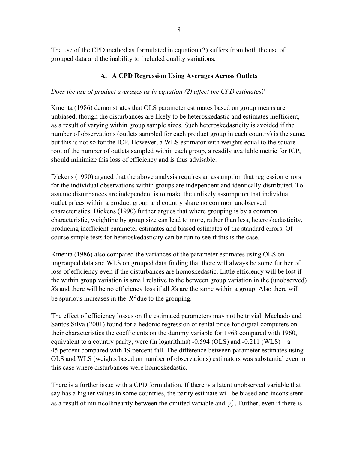The use of the CPD method as formulated in equation (2) suffers from both the use of grouped data and the inability to included quality variations.

## **A. A CPD Regression Using Averages Across Outlets**

## *Does the use of product averages as in equation (2) affect the CPD estimates?*

Kmenta (1986) demonstrates that OLS parameter estimates based on group means are unbiased, though the disturbances are likely to be heteroskedastic and estimates inefficient, as a result of varying within group sample sizes. Such heteroskedasticity is avoided if the number of observations (outlets sampled for each product group in each country) is the same, but this is not so for the ICP. However, a WLS estimator with weights equal to the square root of the number of outlets sampled within each group, a readily available metric for ICP, should minimize this loss of efficiency and is thus advisable.

Dickens (1990) argued that the above analysis requires an assumption that regression errors for the individual observations within groups are independent and identically distributed. To assume disturbances are independent is to make the unlikely assumption that individual outlet prices within a product group and country share no common unobserved characteristics. Dickens (1990) further argues that where grouping is by a common characteristic, weighting by group size can lead to more, rather than less, heteroskedasticity, producing inefficient parameter estimates and biased estimates of the standard errors. Of course simple tests for heteroskedasticity can be run to see if this is the case.

Kmenta (1986) also compared the variances of the parameter estimates using OLS on ungrouped data and WLS on grouped data finding that there will always be some further of loss of efficiency even if the disturbances are homoskedastic. Little efficiency will be lost if the within group variation is small relative to the between group variation in the (unobserved) *X*s and there will be no efficiency loss if all *X*s are the same within a group. Also there will be spurious increases in the  $\bar{R}^2$  due to the grouping.

The effect of efficiency losses on the estimated parameters may not be trivial. Machado and Santos Silva (2001) found for a hedonic regression of rental price for digital computers on their characteristics the coefficients on the dummy variable for 1963 compared with 1960, equivalent to a country parity, were (in logarithms) -0.594 (OLS) and -0.211 (WLS)—a 45 percent compared with 19 percent fall. The difference between parameter estimates using OLS and WLS (weights based on number of observations) estimators was substantial even in this case where disturbances were homoskedastic.

There is a further issue with a CPD formulation. If there is a latent unobserved variable that say has a higher values in some countries, the parity estimate will be biased and inconsistent as a result of multicollinearity between the omitted variable and  $\gamma_c^*$ . Further, even if there is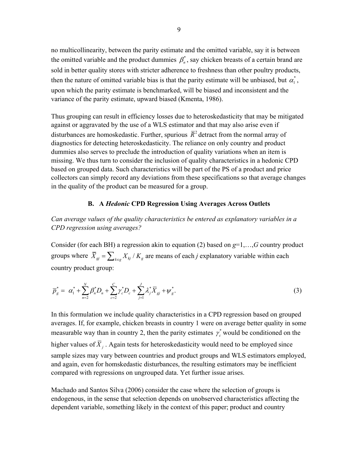no multicollinearity, between the parity estimate and the omitted variable, say it is between the omitted variable and the product dummies  $\beta_n^*$ , say chicken breasts of a certain brand are sold in better quality stores with stricter adherence to freshness than other poultry products, then the nature of omitted variable bias is that the parity estimate will be unbiased, but  $\alpha_{\rm i}^*$ , upon which the parity estimate is benchmarked, will be biased and inconsistent and the variance of the parity estimate, upward biased (Kmenta, 1986).

Thus grouping can result in efficiency losses due to heteroskedasticity that may be mitigated against or aggravated by the use of a WLS estimator and that may also arise even if disturbances are homoskedastic. Further, spurious  $\bar{R}^2$  detract from the normal array of diagnostics for detecting heteroskedasticity. The reliance on only country and product dummies also serves to preclude the introduction of quality variations when an item is missing. We thus turn to consider the inclusion of quality characteristics in a hedonic CPD based on grouped data. Such characteristics will be part of the PS of a product and price collectors can simply record any deviations from these specifications so that average changes in the quality of the product can be measured for a group.

## **B. A** *Hedonic* **CPD Regression Using Averages Across Outlets**

*Can average values of the quality characteristics be entered as explanatory variables in a CPD regression using averages?* 

Consider (for each BH) a regression akin to equation (2) based on *g*=1,…,*G* country product groups where  $\bar{X}_{gi} = \sum_{k \in g} X_{kj} / K_g$  are means of each *j* explanatory variable within each country product group:

$$
\overline{p}_g^* = \alpha_1^* + \sum_{n=2}^N \beta_n^* D_n + \sum_{c=2}^C \gamma_c^* D_c + \sum_{j=1}^J \lambda_j^* \overline{X}_{gj} + \psi_g^*.
$$
\n(3)

\* measurable way than in country 2, then the parity estimates  $\gamma_c^*$  would be conditioned on the In this formulation we include quality characteristics in a CPD regression based on grouped averages. If, for example, chicken breasts in country 1 were on average better quality in some higher values of  $\overline{X}_i$ . Again tests for heteroskedasticity would need to be employed since sample sizes may vary between countries and product groups and WLS estimators employed, and again, even for homskedastic disturbances, the resulting estimators may be inefficient compared with regressions on ungrouped data. Yet further issue arises.

Machado and Santos Silva (2006) consider the case where the selection of groups is endogenous, in the sense that selection depends on unobserved characteristics affecting the dependent variable, something likely in the context of this paper; product and country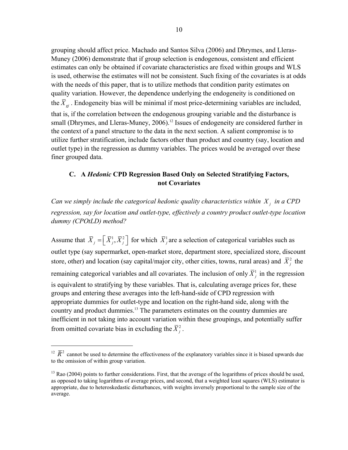grouping should affect price. Machado and Santos Silva (2006) and Dhrymes, and Lleras-Muney (2006) demonstrate that if group selection is endogenous, consistent and efficient estimates can only be obtained if covariate characteristics are fixed within groups and WLS is used, otherwise the estimates will not be consistent. Such fixing of the covariates is at odds with the needs of this paper, that is to utilize methods that condition parity estimates on quality variation. However, the dependence underlying the endogeneity is conditioned on the  $\overline{X}_{gi}$ . Endogeneity bias will be minimal if most price-determining variables are included, that is, if the correlation between the endogenous grouping variable and the disturbance is small (Dhrymes, and Lleras-Muney, 2006).<sup>12</sup> Issues of endogeneity are considered further in the context of a panel structure to the data in the next section. A salient compromise is to utilize further stratification, include factors other than product and country (say, location and outlet type) in the regression as dummy variables. The prices would be averaged over these finer grouped data.

## **C. A** *Hedonic* **CPD Regression Based Only on Selected Stratifying Factors, not Covariates**

*Can we simply include the categorical hedonic quality characteristics within*  $X_i$  *in a CPD regression, say for location and outlet-type, effectively a country product outlet-type location dummy (CPOtLD) method?* 

Assume that  $\overline{X}_j = \left[ \overline{X}_j^1, \overline{X}_j^2 \right]$  for which  $\overline{X}_j^1$  are a selection of categorical variables such as outlet type (say supermarket, open-market store, department store, specialized store, discount store, other) and location (say capital/major city, other cities, towns, rural areas) and  $\bar{X}^2$  the remaining categorical variables and all covariates. The inclusion of only  $\bar{X}^1$  in the regression is equivalent to stratifying by these variables. That is, calculating average prices for, these groups and entering these averages into the left-hand-side of CPD regression with appropriate dummies for outlet-type and location on the right-hand side, along with the country and product dummies.13 The parameters estimates on the country dummies are inefficient in not taking into account variation within these groupings, and potentially suffer from omitted covariate bias in excluding the  $\bar{X}_{i}^{2}$ .

<sup>&</sup>lt;sup>12</sup>  $\overline{R}^2$  cannot be used to determine the effectiveness of the explanatory variables since it is biased upwards due to the omission of within group variation.

 $13$  Rao (2004) points to further considerations. First, that the average of the logarithms of prices should be used, as opposed to taking logarithms of average prices, and second, that a weighted least squares (WLS) estimator is appropriate, due to heteroskedastic disturbances, with weights inversely proportional to the sample size of the average.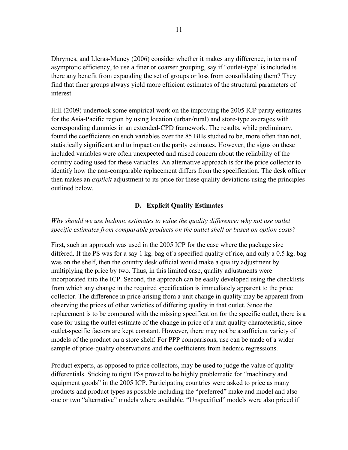Dhrymes, and Lleras-Muney (2006) consider whether it makes any difference, in terms of asymptotic efficiency, to use a finer or coarser grouping, say if "outlet-type' is included is there any benefit from expanding the set of groups or loss from consolidating them? They find that finer groups always yield more efficient estimates of the structural parameters of interest.

Hill (2009) undertook some empirical work on the improving the 2005 ICP parity estimates for the Asia-Pacific region by using location (urban/rural) and store-type averages with corresponding dummies in an extended-CPD framework. The results, while preliminary, found the coefficients on such variables over the 85 BHs studied to be, more often than not, statistically significant and to impact on the parity estimates. However, the signs on these included variables were often unexpected and raised concern about the reliability of the country coding used for these variables. An alternative approach is for the price collector to identify how the non-comparable replacement differs from the specification. The desk officer then makes an *explicit* adjustment to its price for these quality deviations using the principles outlined below.

## **D. Explicit Quality Estimates**

## *Why should we use hedonic estimates to value the quality difference: why not use outlet specific estimates from comparable products on the outlet shelf or based on option costs?*

First, such an approach was used in the 2005 ICP for the case where the package size differed. If the PS was for a say 1 kg. bag of a specified quality of rice, and only a 0.5 kg. bag was on the shelf, then the country desk official would make a quality adjustment by multiplying the price by two. Thus, in this limited case, quality adjustments were incorporated into the ICP. Second, the approach can be easily developed using the checklists from which any change in the required specification is immediately apparent to the price collector. The difference in price arising from a unit change in quality may be apparent from observing the prices of other varieties of differing quality in that outlet. Since the replacement is to be compared with the missing specification for the specific outlet, there is a case for using the outlet estimate of the change in price of a unit quality characteristic, since outlet-specific factors are kept constant. However, there may not be a sufficient variety of models of the product on a store shelf. For PPP comparisons, use can be made of a wider sample of price-quality observations and the coefficients from hedonic regressions.

Product experts, as opposed to price collectors, may be used to judge the value of quality differentials. Sticking to tight PSs proved to be highly problematic for "machinery and equipment goods" in the 2005 ICP. Participating countries were asked to price as many products and product types as possible including the "preferred" make and model and also one or two "alternative" models where available. "Unspecified" models were also priced if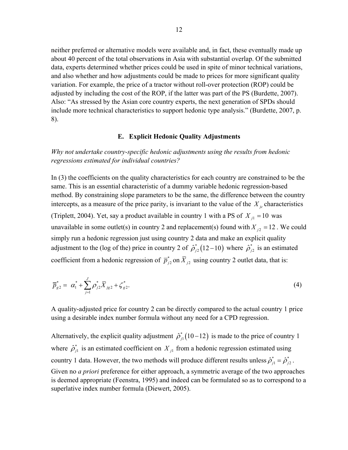neither preferred or alternative models were available and, in fact, these eventually made up about 40 percent of the total observations in Asia with substantial overlap. Of the submitted data, experts determined whether prices could be used in spite of minor technical variations, and also whether and how adjustments could be made to prices for more significant quality variation. For example, the price of a tractor without roll-over protection (ROP) could be adjusted by including the cost of the ROP, if the latter was part of the PS (Burdette, 2007). Also: "As stressed by the Asian core country experts, the next generation of SPDs should include more technical characteristics to support hedonic type analysis." (Burdette, 2007, p. 8).

#### **E. Explicit Hedonic Quality Adjustments**

*Why not undertake country-specific hedonic adjustments using the results from hedonic regressions estimated for individual countries?* 

In (3) the coefficients on the quality characteristics for each country are constrained to be the same. This is an essential characteristic of a dummy variable hedonic regression-based method. By constraining slope parameters to be the same, the difference between the country intercepts, as a measure of the price parity, is invariant to the value of the  $X_i$  characteristics (Triplett, 2004). Yet, say a product available in country 1 with a PS of  $X_{i1} = 10$  was unavailable in some outlet(s) in country 2 and replacement(s) found with  $X_{i2} = 12$ . We could simply run a hedonic regression just using country 2 data and make an explicit quality adjustment to the (log of the) price in country 2 of  $\hat{\rho}_{i2}^*(12-10)$  where  $\hat{\rho}_{i2}^*$  is an estimated coefficient from a hedonic regression of  $\overline{p}_{j2}^*$  on  $\overline{X}_{j2}$  using country 2 outlet data, that is:

$$
\overline{p}_{g2}^* = \alpha_1^* + \sum_{j=1}^J \rho_{j2}^* \overline{X}_{jg2} + \zeta_{g2}^*.
$$
 (4)

A quality-adjusted price for country 2 can be directly compared to the actual country 1 price using a desirable index number formula without any need for a CPD regression.

Alternatively, the explicit quality adjustment  $\hat{\rho}_{i}^*$  (10–12) is made to the price of country 1 where  $\hat{\rho}_{j}^*$  is an estimated coefficient on  $X_{j1}$  from a hedonic regression estimated using country 1 data. However, the two methods will produce different results unless  $\hat{\rho}_{j1}^* = \hat{\rho}_{j2}^*$ . Given no *a priori* preference for either approach, a symmetric average of the two approaches is deemed appropriate (Feenstra, 1995) and indeed can be formulated so as to correspond to a superlative index number formula (Diewert, 2005).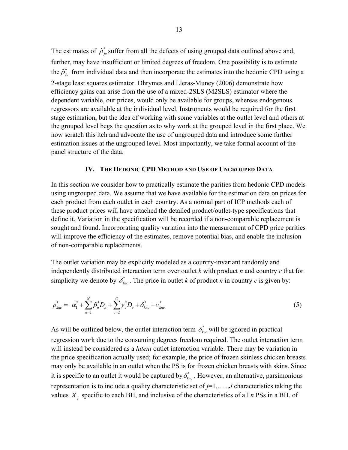The estimates of  $\hat{\rho}_{j_c}^*$  suffer from all the defects of using grouped data outlined above and, further, may have insufficient or limited degrees of freedom. One possibility is to estimate the  $\hat{\rho}_{ic}^*$  from individual data and then incorporate the estimates into the hedonic CPD using a 2-stage least squares estimator. Dhrymes and Lleras-Muney (2006) demonstrate how efficiency gains can arise from the use of a mixed-2SLS (M2SLS) estimator where the dependent variable, our prices, would only be available for groups, whereas endogenous regressors are available at the individual level. Instruments would be required for the first stage estimation, but the idea of working with some variables at the outlet level and others at the grouped level begs the question as to why work at the grouped level in the first place. We now scratch this itch and advocate the use of ungrouped data and introduce some further estimation issues at the ungrouped level. Most importantly, we take formal account of the panel structure of the data.

#### **IV. THE HEDONIC CPD METHOD AND USE OF UNGROUPED DATA**

In this section we consider how to practically estimate the parities from hedonic CPD models using ungrouped data. We assume that we have available for the estimation data on prices for each product from each outlet in each country. As a normal part of ICP methods each of these product prices will have attached the detailed product/outlet-type specifications that define it. Variation in the specification will be recorded if a non-comparable replacement is sought and found. Incorporating quality variation into the measurement of CPD price parities will improve the efficiency of the estimates, remove potential bias, and enable the inclusion of non-comparable replacements.

The outlet variation may be explicitly modeled as a country-invariant randomly and independently distributed interaction term over outlet *k* with product *n* and country *c* that for simplicity we denote by  $\delta_{knc}^*$ . The price in outlet *k* of product *n* in country *c* is given by:

$$
p_{knc}^* = \alpha_1^* + \sum_{n=2}^N \beta_n^* D_n + \sum_{c=2}^C \gamma_c^* D_c + \delta_{knc}^* + \nu_{knc}^* \tag{5}
$$

\* As will be outlined below, the outlet interaction term  $\delta_{\text{knc}}^*$  will be ignored in practical regression work due to the consuming degrees freedom required. The outlet interaction term will instead be considered as a *latent* outlet interaction variable. There may be variation in the price specification actually used; for example, the price of frozen skinless chicken breasts may only be available in an outlet when the PS is for frozen chicken breasts with skins. Since it is specific to an outlet it would be captured by  $\delta_{knc}^*$ . However, an alternative, parsimonious representation is to include a quality characteristic set of *j*=1,…..,*J* characteristics taking the values  $X_i$  specific to each BH, and inclusive of the characteristics of all *n* PSs in a BH, of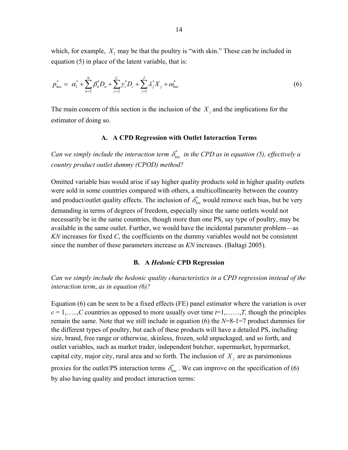which, for example,  $X_1$  may be that the poultry is "with skin." These can be included in equation (5) in place of the latent variable, that is:

$$
p_{\text{knc}}^* = \alpha_1^* + \sum_{n=2}^N \beta_n^* D_n + \sum_{c=2}^C \gamma_c^* D_c + \sum_{j=1}^J \lambda_j^* X_j + \omega_{\text{knc}}^* \tag{6}
$$

The main concern of this section is the inclusion of the  $X_j$  and the implications for the estimator of doing so.

## **A. A CPD Regression with Outlet Interaction Terms**

*Can we simply include the interaction term*  $\delta_{\iota_{nc}}^*$  *in the CPD as in equation (5), effectively a country product outlet dummy (CPOD) method?* 

Omitted variable bias would arise if say higher quality products sold in higher quality outlets were sold in some countries compared with others, a multicollinearity between the country and product/outlet quality effects. The inclusion of  $\delta_{\iota_{nc}}^*$  would remove such bias, but be very demanding in terms of degrees of freedom, especially since the same outlets would not necessarily be in the same countries, though more than one PS, say type of poultry, may be available in the same outlet. Further, we would have the incidental parameter problem—as *KN* increases for fixed *C*, the coefficients on the dummy variables would not be consistent since the number of these parameters increase as *KN* increases. (Baltagi 2005).

#### **B. A** *Hedonic* **CPD Regression**

*Can we simply include the hedonic quality characteristics in a CPD regression instead of the interaction term*, *as in equation (6)?* 

Equation (6) can be seen to be a fixed effects (FE) panel estimator where the variation is over  $c = 1, \ldots, C$  countries as opposed to more usually over time  $t=1, \ldots, T$ , though the principles remain the same. Note that we still include in equation (6) the *N*=8-1=7 product dummies for the different types of poultry, but each of these products will have a detailed PS, including size, brand, free range or otherwise, skinless, frozen, sold unpackaged, and so forth, and outlet variables, such as market trader, independent butcher, supermarket, hypermarket, capital city, major city, rural area and so forth. The inclusion of  $X_i$  are as parsimonious proxies for the outlet/PS interaction terms  $\delta_{\ell m c}^*$ . We can improve on the specification of (6) by also having quality and product interaction terms: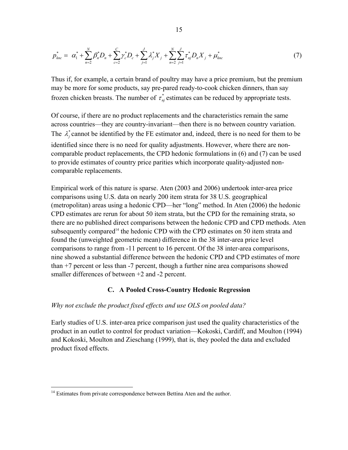$$
p_{knc}^* = \alpha_1^* + \sum_{n=2}^N \beta_n^* D_n + \sum_{c=2}^C \gamma_c^* D_c + \sum_{j=1}^J \lambda_j^* X_j + \sum_{n=2}^N \sum_{j=1}^J \tau_{nj}^* D_n X_j + \mu_{knc}^* \tag{7}
$$

Thus if, for example, a certain brand of poultry may have a price premium, but the premium may be more for some products, say pre-pared ready-to-cook chicken dinners, than say frozen chicken breasts. The number of  $\tau_{nj}^*$  estimates can be reduced by appropriate tests.

Of course, if there are no product replacements and the characteristics remain the same across countries—they are country-invariant—then there is no between country variation . The  $\lambda_j^*$  cannot be identified by the FE estimator and, indeed, there is no need for them to be identified since there is no need for quality adjustments. However, where there are non comparable product replace ments, the CPD hedonic formulations in (6) and (7) can be used to provide estimates of country price parities which incorporate quality-adjusted noncomparable replacements.

there are no published direct comparisons between the hedonic CPD and CPD methods. Aten nine showed a substantial difference between the hedonic CPD and CPD estimates of more than  $+7$  percent or less than  $-7$  percent, though a further nine area comparisons showed smaller differences of between  $+2$  and  $-2$  percent. Empirical work of this nature is sparse. Aten (2003 and 2006) undertook inter-area price comparisons using U.S. data on nearly 200 item strata for 38 U.S. geographical (metropolitan) areas using a hedonic CPD—her "long" method. In Aten (2006) the hedonic CPD estimates are rerun for about 50 item strata, but the CPD for the remaining strata, so subsequently compared<sup>14</sup> the hedonic CPD with the CPD estimates on 50 item strata and found the (unweighted geometric mean) difference in the 38 inter-area price level comparisons to range from -11 percent to 16 percent. Of the 38 inter-area comparisons,

#### **C. A Pooled Cross-Country Hedonic Regression**

#### *Why not exclude the product fixed effects and use OLS on pooled data?*

Early studies of U.S. inter-area price comparison just used the quality characteristics of the product in an outlet to control for product variation—Kokoski, Cardiff, and Moulton (1994) and Kokoski, Moulton and Zieschang (1999), that is, they pooled the data and excluded product fixed effects.

 $\overline{a}$ 

<sup>&</sup>lt;sup>14</sup> Estimates from private correspondence between Bettina Aten and the author.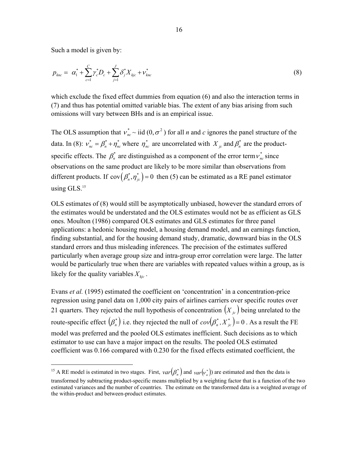Such a model is given by:

 $\overline{a}$ 

$$
p_{knc} = \alpha_1^* + \sum_{c=1}^C \gamma_c^* D_c + \sum_{j=1}^J \delta_j^* X_{kjc} + v_{knc}^* \tag{8}
$$

(7) and thus has potential omitted variable bias. The extent of any bias arising from such omissions will vary between BHs and is an empirical issue. which exclude the fixed effect dummies from equation (6) and also the interaction terms in

The OLS assumption that  $v_{nc}^* \sim$  iid  $(0, \sigma^2)$  for all *n* and *c* ignores the panel structure of the \* data. In (8):  $v_{nc}^* = \beta_n^* + \eta_{nc}^*$  where  $\eta_{nc}^*$  are uncorrelated with  $X_{jc}$  and  $\beta_n^*$  are the productspecific effects. The  $\beta_n^*$  are distinguished as a component of the error term  $v_{nc}^*$  since observations on the same product are likely to be more similar than observations from different products. If  $cov(\beta_n^*, \eta_{j_c}^*) = 0$  then (5) can be estimated as a RE panel estimator using GLS.<sup>15</sup>

OLS estimates of (8) would still be asymptotically unbiased, however the standard errors of the estimates would be understated and the OLS estimates would not be as efficient as GLS ones. Moulton (1986) compared OLS estimates and GLS estimates for three panel applications: a hedonic housing model, a housing demand model, and an earnings function, finding substantial, and for the housing demand study, dramatic, downward bias in the OLS standard errors and thus misleading inferences. The precision of the estimates suffered particularly when average group size and intra-group error correlation were large. The latter would be particularly true when there are variables with repeated values within a group, as is likely for the quality variables  $X_{kic}$ .

Evans *et al.* (1995) estimated the coefficient on 'concentration' in a concentration-price regression using panel data on 1,000 city pairs of airlines carriers over specific routes over 21 quarters. They rejected the null hypothesis of concentration  $(X_{i,c})$  being unrelated to the route-specific effect  $(\beta_n^*)$  i.e. they rejected the null of  $cov(\beta_n^*, X_{ic}^*)$  = 0. As a result the FE model was preferred and the pooled OLS estimates inefficient. Such decisions as to which estimator to use can have a major impact on the results. The pooled OLS estimated coefficient was 0.166 compared with 0.230 for the fixed effects estimated coefficient, the

<sup>&</sup>lt;sup>15</sup> A RE model is estimated in two stages. First,  $var(\beta_n^*)$  and  $var(v_n^*)$ ) are estimated and then the data is transformed by subtracting product-specific means multiplied by a weighting factor that is a function of the two estimated variances and the number of countries. The estimate on the transformed data is a weighted average of the within-product and between-product estimates.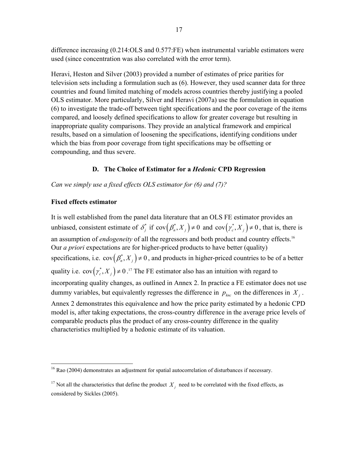difference increasing (0.214:OLS and 0.577:FE) when instrumental variable estimators were used (since concentration was also correlated with the error term).

Heravi, Heston and Silver (2003) provided a number of estimates of price parities for television sets including a formulation such as (6). However, they used scanner data for th ree countries and found limited matching of models across countries thereby justifying a pooled OLS estimator. More particularly, Silver and Heravi (2007a) use the formulation i n equation (6) to investigate the trade-off be tween tight specifications and the poor coverage of the items ompared, and loosely defined specifications to allow for greater coverage but resulting in c inappropriate quality comparisons. They provide an analytical framework and empirical results, based on a simulation of loosening the specifications, identifying conditions under which the bias from poor coverage from tight specifications may be offsetting or compounding, and thus severe.

## **D. The Choice of Estimator for a** *Hedonic* **CPD Regression**

*Can we simply use a fixed effects OLS estimator for (6) and (7)?* 

## **Fixed effects estimator**

It is well established from the panel data literature that an OLS FE estimator provides an unbiased, consistent estimate of  $\delta_j^*$  if  $cov(\beta_n^*, X_j) \neq 0$  and  $cov(\gamma_c^*, X_j) \neq 0$ , that is, there is an assumption of *endogeneity* of all the regressors and both product and country effects.<sup>16</sup> Our *a priori* expectations are for higher-priced products to have better (quality) specifications, i.e.  $cov(\beta_n^*, X_j) \neq 0$ , and products in higher-priced countries to be of a better quality i.e.  $cov(\gamma_c^*, X_j) \neq 0$ .<sup>17</sup> The FE estimator also has an intuition with regard to incorporating quality changes, as outlined in Annex 2. In practice a FE estimator doe s not use dummy variables, but equivalently regresses the difference in  $p_{knc}$  on the differences in  $X_j$ . Annex 2 demonstrates this equivalence and how the price parity estimated by a hedonic CPD model is, after taking expectations, the cross-country difference in the average price levels of characteristics multiplied by a hedonic estimate of its valuation. comparable products plus the product of any cross-country difference in the quality

<sup>1</sup> <sup>16</sup> Rao (2004) demonstrates an adjustment for spatial autocorrelation of disturbances if necessary.

<sup>&</sup>lt;sup>17</sup> Not all the characteristics that define the product  $X_j$  need to be correlated with the fixed effects, as considered by Sickles (2005).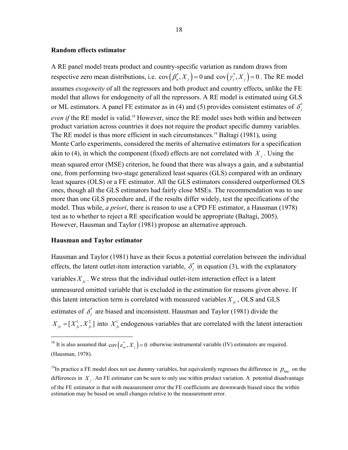#### **Random effects estimator**

A RE panel model treats product and country-specific variation as random draws from respective zero mean distributions, i.e.  $cov(\beta_n^*, X_j) = 0$  and  $cov(\gamma_c^*, X_j) = 0$ . The RE model assumes *exogeneity* of all the regressors and both product and country effects, unlike the FE model that allows for endogeneity of all the repressors. A RE model is estimated using GLS or ML estimators. A panel FE estimator as in (4) and (5) provides consistent estimates of  $\delta_j^*$ *even if* the RE model is valid.<sup>18</sup> However, since the RE model uses both within and between product variation across countries it does not require the product specific dummy variables. The RE model is thus more efficient in such circumstances.<sup>19</sup> Baltagi (1981), using Monte Carlo experiments, considered the merits of alternative estimators for a specification akin to (4), in which the component (fixed) effects are not correlated with  $X_i$ . Using the mean squared error (MSE) criterion, he found that there was always a gain, and a sub stantial one, from performing two-stage generalized least squares (GLS) compare d with an ordinary least squares (OLS) or a FE estimator. All the GLS estimators considered outperformed OLS ones, though all the GLS estimators had fairly close MSEs. The recommendation was to use test as to whether to reject a RE specification would be appropriate (Baltagi, 2005). more than one GLS procedure and, if the results differ widely, test the specifications of the model. Thus while, *a priori*, there is reason to use a CPD FE estimator, a Hausman (1978) However, Hausman and Taylor (1981) propose an alternative approach.

## **Hausman and Taylor estimator**

1

Hausman and Taylor (1981) have as their focus a potential correlation between the individual effects, the latent outlet-item interaction variable,  $\delta_j^*$  in equation (3), with the explanatory variables  $X_{jc}$ . We stress that the individual outlet-item interaction effect is a latent unmeasured omitted variable that is excluded in the estimation for reasons given above. If this latent interaction term is correlated with measured variables  $X_{j_c}$ , OLS and GLS estimates of  $\delta_j^*$  are biased and inconsistent. Hausman and Taylor (1981) divide the  $X_{jc} = [X_{jc}^1, X_{jc}^2]$  into  $X_{jc}^1$  endogenous variables that are correlated with the latent interaction

<sup>&</sup>lt;sup>18</sup> It is also assumed that  $cov(\varepsilon_{nc}^*, X_j) = 0$  otherwise instrumental variable (IV) estimators are required. (Hausman, 1978).

<sup>&</sup>lt;sup>19</sup>In practice a FE model does not use dummy variables, but equivalently regresses the difference in  $p_{knc}$  on the differences in  $X_i$ . An FE estimator can be seen to only use within product variation. A potential disadvantage of the FE estimator is that with measurement error the FE coefficients are downwards biased since the within estimation may be based on small changes relative to the measurement error.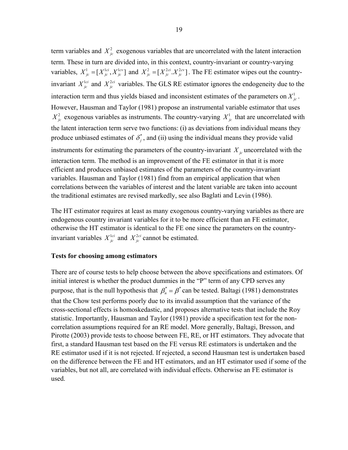term variables and  $X_{j_c}^2$  exogenous variables that are uncorrelated with the latent interaction term. These in turn are divided into, in this context, country-invariant or country-varying variables,  $X^1_{j_c} = [X^{1ci}_{j_c}, X^{1cv}_{j_c}]$  and  $X^2_{j_c} = [X^{2ci}_{j_c}, X^{2cv}_{j_c}]$ . The FE estimator wipes out the countryinvariant  $X_{j_c}^{1ci}$  and  $X_{j_c}^{2ci}$  variables. The GLS RE estimator ignores the endogeneity due to the interaction term and thus yields biased and inconsistent estimates of the parameters on  $X^1_{j_c}$ . However, Hausman and Taylor (1981) propose an instrumental variable estimator that uses  $X_{j_c}^2$  exogenous variables as instruments. The country-varying  $X_{j_c}^1$  that are uncorrelated with the latent interaction term serve two functions: (i) as deviations from individual mean s they produce unbiased estimates of  $\delta_j^*$ , and (ii) using the individual means they provide valid instruments for estimating the parameters of the country-invariant  $X_{i,c}$  uncorrelated with the the traditional estimates are revised markedly, see also Baglati and Levin (1986). interaction term. The method is an improvement of the FE estimator in that it is more efficient and produces unbiased estimates of the parameters of the country-invariant variables. Hausman and Taylor (1981) find from an empirical application that when correlations between the variables of interest and the latent variable are taken into account

The HT estimator requires at least as many exogenous country-varying variables as there are endogenous country invariant variables for it to be more efficient than an FE estimator, otherwise the HT estimator is identical to the FE one since the parameters on the countryinvariant variables  $X_{jc}^{1ci}$  and  $X_{jc}^{2ci}$  cannot be estimated.

#### **Tests for choosing among estimators**

There are of course tests to help choose between the above specifications and estimators. O f initial interest is whether the product dummies in the "P" term of any CPD serves any purpose, that is the null hypothesis that  $\beta_n^* = \beta^*$  can be tested. Baltagi (1981) demonstrates that the Chow test performs poorly due to its invalid assumption that the variance of the cross-sectional effects is homoskedastic, and proposes alternative tests that include the Roy statistic. Importantly, Hausman and Taylor (1981) provide a specification test for the noncorrelation assumptions required for an RE model. More generally, Baltagi, Bresson, and Pirotte (2003) provide tests to choose between FE, RE, or HT estimators. They advocate that first, a standard Hausman test based on the FE versus RE estimators is undertaken and the RE estimator used if it is not rejected. If rejected, a second Hausman test is undertaken based on the difference between the FE and HT estimators, and an HT estimator used if some of the variables, but not all, are correlated with individual effects. Otherwise an FE estimator is used.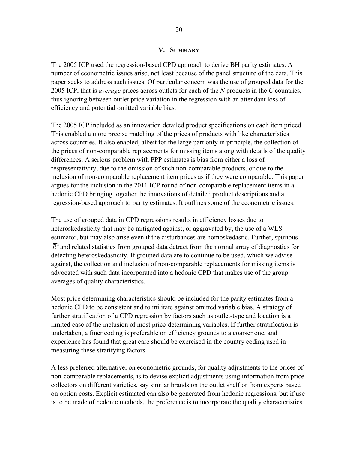#### **V. SUMMARY**

2005 ICP, that is *average* prices across outlets for each of the *N* products in the *C* countries, The 2005 ICP used the regression-based CPD approach to derive BH parity estimates. A number of econometric issues arise, not least because of the panel structure of the data. This paper seeks to address such issues. Of particular concern was the use of grouped data for the thus ignoring between outlet price variation in the regression with an attendant loss of efficiency and potential omitted variable bias.

The 2005 ICP included as an innovation detailed product specifications on each item priced. across countries. It also enabled, albeit for the large part only in principle, the collection of the prices of non-comparable replacements for missing items along with details of the quality This enabled a more precise matching of the prices of products with like characteristics differences. A serious problem with PPP estimates is bias from either a loss of respresentativity, due to the omission of such non-comparable products, or due to the inclusion of non-comparable replacement item prices as if they were comparable. This paper argues for the inclusion in the 2011 ICP round of non-comparable replacement items in a hedonic CPD bringing together the innovations of detailed product descriptions and a regression-based approach to parity estimates. It outlines some of the econometric issues.

The use of grouped data in CPD regressions results in efficiency losses due to estimator, but may also arise even if the disturbances are homoskedastic. Further, spurious heteroskedasticity that may be mitigated against, or aggravated by, the use of a WLS  $\overline{R}^2$  and related statistics from grouped data detract from the normal array of diagnostics for detecting heteroskedasticity. If grouped data are to continue to be used, which we advise against, the collection and inclusion of non-comparable replacements for missing items is advocated with such data incorporated into a hedonic CPD that makes use of the group averages of quality characteristics.

Most price determining characteristics should be included for the parity estimates from a hedonic CPD to be consistent and to militate against omitted variable bias. A strategy of further stratification of a CPD regression by factors such as outlet-type and location is a limited case of the inclusion of most price-determining variables. If further stratification is undertaken, a finer coding is preferable on efficiency grounds to a coarser one, and experience has found that great care should be exercised in the country coding used in measuring these stratifying factors.

A less preferred alternative, on econometric grounds, for quality adjustments to the prices of non-comparable replacements, is to devise explicit adjustments using information from price collectors on different varieties, say similar brands on the outlet shelf or from experts based on option costs. Explicit estimated can also be generated from hedonic regressions, but if use is to be made of hedonic methods, the preference is to incorporate the quality characteristics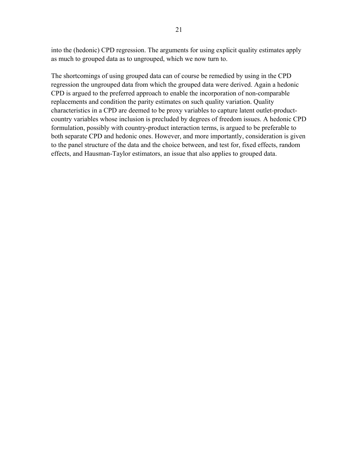into the (hedonic) CPD regression. The arguments for using explicit quality estimates apply as much to grouped data as to ungrouped, which we now turn to.

regression the ungrouped data from which the grouped data were derived. Again a hedonic CPD is argued to the preferred approach to enable the incorporation of non-comparable replacements and condition the parity estimates on such quality variation. Quality characteristics in a CPD are deemed to be proxy variables to capture latent outlet-productcountry variables whose inclusion is precluded by degrees of freedom issues. A hedonic CPD formulation, possibly with country-product interaction terms, is argued to be preferable to both separate CPD and hedonic ones. However, and more importantly, consideration is given to the panel structure of the data and the choice between, and test for, fixed effects, random effects, and Hausman-Taylor estimators, an issue that also applies to grouped data. The shortcomings of using grouped data can of course be remedied by using in the CPD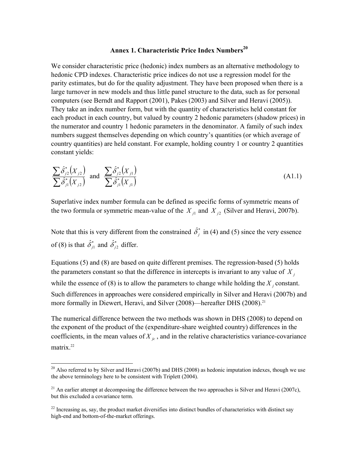#### **Annex 1. Characteristic Price Index Numbers<sup>20</sup>**

We consider characteristic price (hedonic) index numbers as an alternative methodology to hedonic CPD indexes. Characteristic price indices do not use a regression model for the parity estimates, but do for the quality adjustment. They have been proposed when there is a large turnover in new models and thus little panel structure to the data, such as for personal computers (see Berndt and Rapport (2001), Pakes (2003) and Silver and Heravi (2005)). They take an index number form, but with the quantity of characteristics held constant for each product in each country, but valued by country 2 hedonic parameters (shadow prices) in the numerator and country 1 hedonic parameters in the denominator. A family of such index numbers suggest themselves depending on which country's quantities (or which average of country quantities) are held constant. For example, holding country 1 or country 2 quantities constant yields:

$$
\frac{\sum \hat{\delta}_{j2}^*(X_{j2})}{\sum \hat{\delta}_{j1}^*(X_{j2})}
$$
 and 
$$
\frac{\sum \hat{\delta}_{j2}^*(X_{j1})}{\sum \hat{\delta}_{j1}^*(X_{j1})}
$$
 (A1.1)

the two formula or symmetric mean-value of the  $X_{i1}$  and  $X_{i2}$  (Silver and Heravi, 2007b). Superlative index number formula can be defined as specific forms of symmetric means of

*\** Note that this is very different from the constrained  $\hat{\delta}^*$  in (4) and (5) since the very essence *\** of (8) is that  $\hat{\delta}^*_{j1}$  and  $\hat{\delta}^*_{j2}$  differ.

the parameters constant so that the difference in intercepts is invariant to any value of  $X_i$ while the essence of (8) is to allow the parameters to change while holding the  $X_j$  constant. Equations (5) and (8) are based on quite different premises. The regression-based (5) holds Such differences in approaches were considered empirically in Silver and Heravi (2007b) and more formally in Diewert, Heravi, and Silver (2008)—hereafter DHS (2008).<sup>21</sup>

coefficients, in the mean values of  $X_{j_c}$ , and in the relative characteristics variance-covariance The numerical difference between the two methods was shown in DHS (2008) to depend on the exponent of the product of the (expenditure-share weighted country) differences in the matrix.<sup>22</sup>

 $\overline{a}$ 

 $20$  Also referred to by Silver and Heravi (2007b) and DHS (2008) as hedonic imputation indexes, though we use the above terminology here to be consistent with Triplett (2004).

<sup>&</sup>lt;sup>21</sup> An earlier attempt at decomposing the difference between the two approaches is Silver and Heravi (2007c), but this excluded a covariance term.

 $^{22}$  Increasing as, say, the product market diversifies into distinct bundles of characteristics with distinct say high-end and bottom-of-the-market offerings.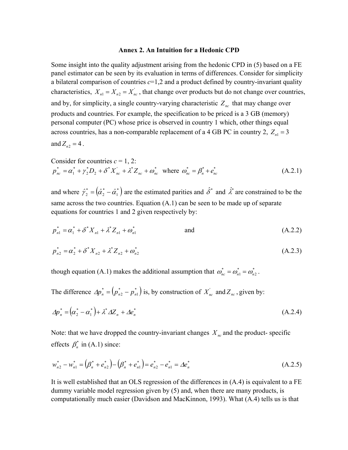#### **Annex 2. An Intuition for a Hedonic CPD**

Some insight into the quality adjustment arising from the hedonic CPD in (5) based on a FE panel estimator can be seen by its evaluation in terms of differences. Consider for simplicity a bilateral comparison of countries *c*=1,2 and a product defined by country-invariant quality characteristics,  $X_{n_1} = X_{n_2} = X'_{n_c}$ , that change over products but do not change over countries, and by, for simplicity, a single country-varying characteristic  $Z_{nc}$  that may change over across countries, has a non-comparable replacement of a 4 GB PC in country 2,  $Z_{n_1} = 3$ products and countries. For example, the specification to be priced is a 3 GB (memory) personal computer (PC) whose price is observed in country 1 which, other things equal and  $Z_{n2} = 4$ .

Consider for countries 
$$
c = 1, 2
$$
:  
\n
$$
p_{nc}^* = \alpha_1^* + \gamma_2^* D_2 + \delta^* X_{nc} + \lambda^* Z_{nc} + \omega_{nc}^* \text{ where } \omega_{nc}^* = \beta_n^* + e_{nc}^* \tag{A.2.1}
$$

and where  $\hat{\gamma}_2^* = (\hat{\alpha}_2^* - \hat{\alpha}_1^*)$  are the estimated parities and  $\hat{\delta}^*$  and  $\hat{\lambda}^*$  are constrained to be the same across the two countries. Equation (A.1) can be seen to be made up of separate equations for countries 1 and 2 given respectively by:

$$
p_{n1}^* = \alpha_1^* + \delta^* X_{n1} + \lambda^* Z_{n1} + \omega_{n1}^* \qquad \text{and} \qquad (A.2.2)
$$

$$
p_{n2}^* = \alpha_2^* + \delta^* X_{n2} + \lambda^* Z_{n2} + \omega_{n2}^* \tag{A.2.3}
$$

 $*$   $*$   $*$ though equation (A.1) makes the additional assumption that  $\omega_{nc}^* = \omega_{n1}^* = \omega_{n2}^*$ .

 $(p_{n2}^* - p_{n1}^*)$ *\** The difference  $\Delta p_n^* = (p_{n2}^* - p_{n1}^*)$  is, by construction of  $X_{nc}$  and  $Z_{nc}$ , given by:

$$
\Delta p_n^* = \left(\alpha_2^* - \alpha_1^*\right) + \lambda^* \Delta Z_n + \Delta e_n^* \tag{A.2.4}
$$

Note: that we have dropped the country-invariant changes  $X_{nc}$  and the product-specific \* effects  $\beta_n^*$  in (A.1) since:

$$
w_{n2}^* - w_{n1}^* = (\beta_n^* + e_{n2}^*) - (\beta_n^* + e_{n1}^*) = e_{n2}^* - e_{n1}^* = \Delta e_n^*
$$
\n(A.2.5)

It is well established that an OLS regression of the differences in (A.4) is equivalent to a FE dummy variable model regression given by (5) and, when there are many products, is computationally much easier (Davidson and MacKinnon, 1993). What (A.4) tells us is that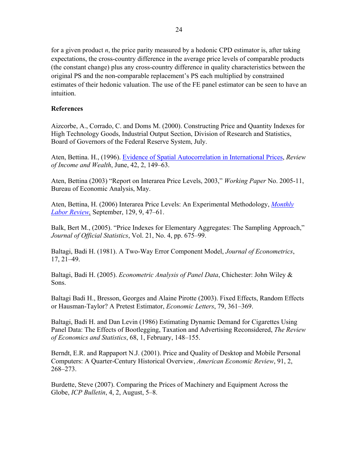for a given product *n*, the price parity measured by a hedonic CPD estimator is, after taking expectations, the cross-country difference in the average price levels of comparable products (the constant change) plus any cross-country difference in quality characteristics between the original PS and the non-comparable replacement's PS each multiplied by constrained estimates of their hedonic valuation. The use of the FE panel estimator can be seen to have an intuition.

## **References**

Aizcorbe, A., Corrado, C. and Doms M. (2000). Constructing Price and Quantity Indexes for High Technology Goods, Industrial Output Section, Division of Research and Statistics, Board of Governors of the Federal Reserve System, July.

Aten, Bettina. H., (1996). Evidence of Spatial Autocorrelation in International Prices, *Review of Income and Wealth*, June, 42, 2, 149–63.

Aten, Bettina (2003) "Report on Interarea Price Levels, 2003," *Working Paper* No. 2005-11, Bureau of Economic Analysis, May.

Aten, Bettina, H. (2006) Interarea Price Levels: An Experimental Methodology, *Monthly Labor Review,* September, 129, 9, 47–61.

Balk, Bert M., (2005). "Price Indexes for Elementary Aggregates: The Sampling Approach," *Journal of Official Statistics*, Vol. 21, No. 4, pp. 675–99.

Baltagi, Badi H. (1981). A Two-Way Error Component Model, *Journal of Econometrics*, 17, 21–49.

Baltagi, Badi H. (2005). *Econometric Analysis of Panel Data*, Chichester: John Wiley & Sons.

Baltagi Badi H., Bresson, Georges and Alaine Pirotte (2003). Fixed Effects, Random Effects or Hausman-Taylor? A Pretest Estimator, *Economic Letters*, 79, 361–369.

Baltagi, Badi H. and Dan Levin (1986) Estimating Dynamic Demand for Cigarettes Using Panel Data: The Effects of Bootlegging, Taxation and Advertising Reconsidered, *The Review of Economics and Statistics*, 68, 1, February, 148–155.

Berndt, E.R. and Rappaport N.J. (2001). Price and Quality of Desktop and Mobile Personal Computers: A Quarter-Century Historical Overview, *American Economic Review*, 91, 2, 268–273.

Burdette, Steve (2007). Comparing the Prices of Machinery and Equipment Across the Globe, *ICP Bulletin*, 4, 2, August, 5–8.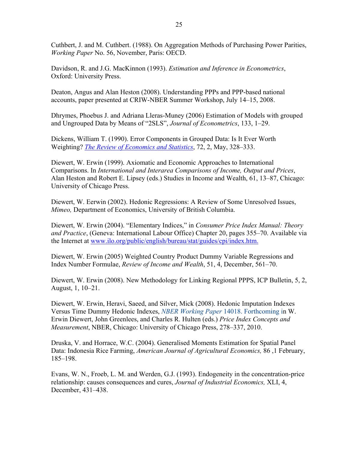Cuthbert, J. and M. Cuthbert. (1988). On Aggregation Methods of Purchasing Power Parities, *Working Paper* No. 56, November, Paris: OECD.

Davidson, R. and J.G. MacKinnon (1993). *Estimation and Inference in Econometrics*, Oxford: University Press.

Deaton, Angus and Alan Heston (2008). Understanding PPPs and PPP-based national accounts, paper presented at CRIW-NBER Summer Workshop, July 14–15, 2008.

Dhrymes, Phoebus J. and Adriana Lleras-Muney (2006) Estimation of Models with grouped and Ungrouped Data by Means of "2SLS", *Journal of Econometrics*, 133, 1–29.

Dickens, William T. (1990). Error Components in Grouped Data: Is It Ever Worth Weighting? *The Review of Economics and Statistics*, 72, 2, May, 328–333.

Diewert, W. Erwin (1999). Axiomatic and Economic Approaches to International Comparisons. In *International and Interarea Comparisons of Income, Output and Prices*, Alan Heston and Robert E. Lipsey (eds.) Studies in Income and Wealth, 61, 13–87, Chicago: University of Chicago Press.

Diewert, W. Eerwin (2002). Hedonic Regressions: A Review of Some Unresolved Issues, *Mimeo,* Department of Economics, University of British Columbia.

Diewert, W. Erwin (2004). "Elementary Indices," in *Consumer Price Index Manual: Theory and Practice*, (Geneva: International Labour Office) Chapter 20, pages 355–70. Available via the Internet at www.ilo.org/public/english/bureau/stat/guides/cpi/index.htm.

Diewert, W. Erwin (2005) Weighted Country Product Dummy Variable Regressions and Index Number Formulae, *Review of Income and Wealth*, 51, 4, December, 561–70.

Diewert, W. Erwin (2008). New Methodology for Linking Regional PPPS, ICP Bulletin, 5, 2, August, 1, 10–21.

Diewert, W. Erwin, Heravi, Saeed, and Silver, Mick (2008). Hedonic Imputation Indexes Versus Time Dummy Hedonic Indexes, *NBER Working Paper* 14018. Forthcoming in W. Erwin Diewert, John Greenlees, and Charles R. Hulten (eds.) *Price Index Concepts and Measurement*, NBER, Chicago: University of Chicago Press, 278–337, 2010.

Druska, V. and Horrace, W.C. (2004). Generalised Moments Estimation for Spatial Panel Data: Indonesia Rice Farming, *American Journal of Agricultural Economics,* 86 ,1 February, 185–198.

Evans, W. N., Froeb, L. M. and Werden, G.J. (1993). Endogeneity in the concentration-price relationship: causes consequences and cures, *Journal of Industrial Economics,* XLI, 4, December, 431–438.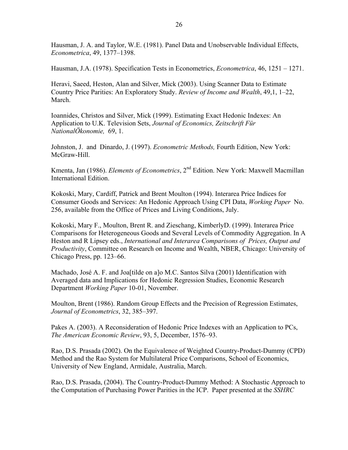Hausman, J. A. and Taylor, W.E. (1981). Panel Data and Unobservable Individual Effects, *Econometrica*, 49, 1377–1398.

Hausman, J.A. (1978). Specification Tests in Econometrics, *Econometrica*, 46, 1251 – 1271.

Heravi, Saeed, Heston, Alan and Silver, Mick (2003). Using Scanner Data to Estimate Country Price Parities: An Exploratory Study. *Review of Income and Wealth*, 49,1, 1–22, March.

Ioannides, Christos and Silver, Mick (1999). Estimating Exact Hedonic Indexes: An Application to U.K. Television Sets, *Journal of Economics, Zeitschrift Für NationalÖkonomie,* 69, 1.

Johnston, J. and Dinardo, J. (1997). *Econometric Methods,* Fourth Edition, New York: McGraw-Hill.

Kmenta, Jan (1986). *Elements of Econometrics*, 2nd Edition. New York: Maxwell Macmillan International Edition.

Kokoski, Mary, Cardiff, Patrick and Brent Moulton (1994). Interarea Price Indices for Consumer Goods and Services: An Hedonic Approach Using CPI Data, *Working Paper* No. 256, available from the Office of Prices and Living Conditions, July.

Kokoski, Mary F., Moulton, Brent R. and Zieschang, KimberlyD. (1999). Interarea Price Comparisons for Heterogeneous Goods and Several Levels of Commodity Aggregation. In A Heston and R Lipsey eds., *International and Interarea Comparisons of Prices, Output and Productivity*, Committee on Research on Income and Wealth, NBER, Chicago: University of Chicago Press, pp. 123–66.

Machado, José A. F. and Joa[tilde on a]o M.C. Santos Silva (2001) Identification with Averaged data and Implications for Hedonic Regression Studies, Economic Research Department *Working Paper* 10-01, November.

Moulton, Brent (1986). Random Group Effects and the Precision of Regression Estimates, *Journal of Econometrics*, 32, 385–397.

Pakes A. (2003). A Reconsideration of Hedonic Price Indexes with an Application to PCs, *The American Economic Review*, 93, 5, December, 1576–93.

Rao, D.S. Prasada (2002). On the Equivalence of Weighted Country-Product-Dummy (CPD) Method and the Rao System for Multilateral Price Comparisons, School of Economics, University of New England, Armidale, Australia, March.

Rao, D.S. Prasada, (2004). The Country-Product-Dummy Method: A Stochastic Approach to the Computation of Purchasing Power Parities in the ICP. Paper presented at the *SSHRC*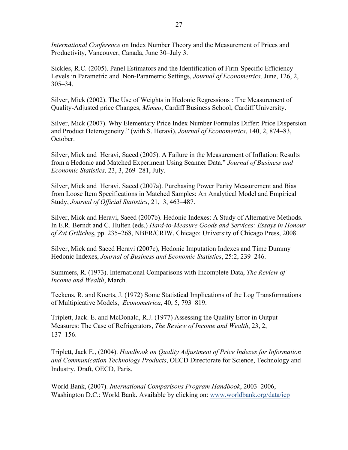*International Conference* on Index Number Theory and the Measurement of Prices and Productivity, Vancouver, Canada, June 30–July 3.

Sickles, R.C. (2005). Panel Estimators and the Identification of Firm-Specific Efficiency Levels in Parametric and Non-Parametric Settings, *Journal of Econometrics,* June, 126, 2, 305–34.

Silver, Mick (2002). The Use of Weights in Hedonic Regressions : The Measurement of Quality-Adjusted price Changes, *Mimeo*, Cardiff Business School, Cardiff University.

Silver, Mick (2007). Why Elementary Price Index Number Formulas Differ: Price Dispersion and Product Heterogeneity." (with S. Heravi), *Journal of Econometrics*, 140, 2, 874–83, October.

Silver, Mick and Heravi, Saeed (2005). A Failure in the Measurement of Inflation: Results from a Hedonic and Matched Experiment Using Scanner Data." *Journal of Business and Economic Statistics,* 23, 3, 269–281, July.

Silver, Mick and Heravi, Saeed (2007a). Purchasing Power Parity Measurement and Bias from Loose Item Specifications in Matched Samples: An Analytical Model and Empirical Study, *Journal of Official Statistics*, 21, 3, 463–487.

Silver, Mick and Heravi, Saeed (2007b). Hedonic Indexes: A Study of Alternative Methods. In E.R. Berndt and C. Hulten (eds.) *Hard-to-Measure Goods and Services: Essays in Honour of Zvi Griliche*s, pp. 235–268, NBER/CRIW, Chicago: University of Chicago Press, 2008.

Silver, Mick and Saeed Heravi (2007c), Hedonic Imputation Indexes and Time Dummy Hedonic Indexes, *Journal of Business and Economic Statistics*, 25:2, 239–246.

Summers, R. (1973). International Comparisons with Incomplete Data, *The Review of Income and Wealth*, March.

Teekens, R. and Koerts, J. (1972) Some Statistical Implications of the Log Transformations of Multipicative Models, *Econometrica*, 40, 5, 793–819.

Triplett, Jack. E. and McDonald, R.J. (1977) Assessing the Quality Error in Output Measures: The Case of Refrigerators, *The Review of Income and Wealth*, 23, 2, 137–156.

Triplett, Jack E., (2004). *Handbook on Quality Adjustment of Price Indexes for Information and Communication Technology Products*, OECD Directorate for Science, Technology and Industry, Draft, OECD, Paris.

World Bank, (2007). *International Comparisons Program Handbook*, 2003–2006, Washington D.C.: World Bank. Available by clicking on: www.worldbank.org/data/icp